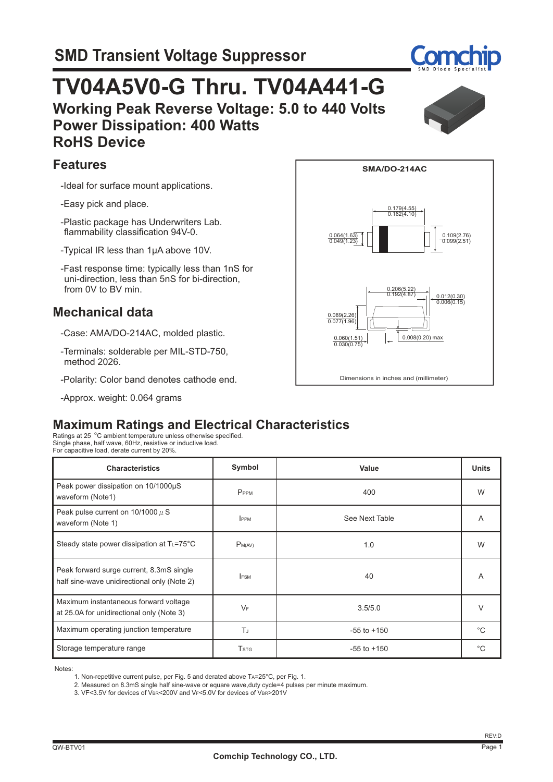# **Working Peak Reverse Voltage: 5.0 to 440 Volts Power Dissipation: 400 Watts RoHS Device TV04A5V0-G Thru. TV04A441-G**

#### **Features**

-Ideal for surface mount applications.

-Easy pick and place.

- -Plastic package has Underwriters Lab. flammability classification 94V-0.
- -Typical IR less than 1μA above 10V.
- -Fast response time: typically less than 1nS for uni-direction, less than 5nS for bi-direction, from 0V to BV min.

### **Mechanical data**

- -Case: AMA/DO-214AC, molded plastic.
- -Terminals: solderable per MIL-STD-750, method 2026.
- -Polarity: Color band denotes cathode end.
- -Approx. weight: 0.064 grams



**SMA/DO-214AC**

0.179(4.55) 0.162(4.10)

### **Maximum Ratings and Electrical Characteristics**

Ratings at 25 °C ambient temperature unless otherwise specified.<br>Single phase, half wave, 60Hz, resistive or inductive load. For capacitive load, derate current by 20%.

| <b>Characteristics</b>                                                                  | Symbol                  | Value           | <b>Units</b> |
|-----------------------------------------------------------------------------------------|-------------------------|-----------------|--------------|
| Peak power dissipation on 10/1000µS<br>waveform (Note1)                                 | PPPM                    | 400             | W            |
| Peak pulse current on $10/1000 \mu$ S<br>waveform (Note 1)                              | <b>IPPM</b>             | See Next Table  | A            |
| Steady state power dissipation at $T_{L} = 75^{\circ}$ C                                | $P_{M(AV)}$             | 1.0             | W            |
| Peak forward surge current, 8.3mS single<br>half sine-wave unidirectional only (Note 2) | <b>IFSM</b>             | 40              | A            |
| Maximum instantaneous forward voltage<br>at 25.0A for unidirectional only (Note 3)      | $V_F$                   | 3.5/5.0         | $\vee$       |
| Maximum operating junction temperature                                                  | Tu.                     | $-55$ to $+150$ | $^{\circ}C$  |
| Storage temperature range                                                               | <b>T</b> <sub>STG</sub> | $-55$ to $+150$ | $^{\circ}C$  |

Notes:

1. Non-repetitive current pulse, per Fig. 5 and derated above TA=25°C, per Fig. 1.

2. Measured on 8.3mS single half sine-wave or equare wave,duty cycle=4 pulses per minute maximum.

3. VF<3.5V for devices of VBR<200V and VF<5.0V for devices of VBR>201V



 $0.064(1.63)$ 

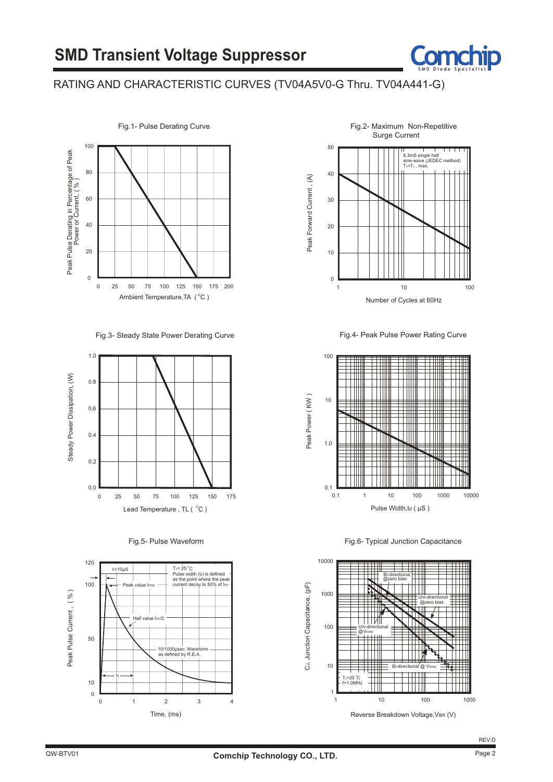

#### RATING AND CHARACTERISTIC CURVES (TV04A5V0-G Thru. TV04A441-G)



Fig.3- Steady State Power Derating Curve









Fig.4- Peak Pulse Power Rating Curve



Fig.6- Typical Junction Capacitance

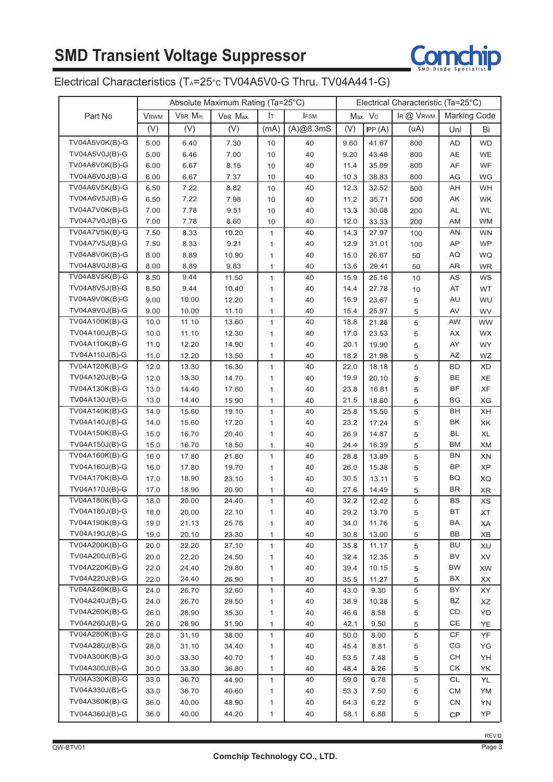

### Electrical Characteristics (T<sub>A</sub>=25°c TV04A5V0-G Thru. TV04A441-G)

|                                  | Absolute Maximum Rating (Ta=25°C) |          |          |              | Electrical Characteristic (Ta=25°C) |      |         |             |                        |           |
|----------------------------------|-----------------------------------|----------|----------|--------------|-------------------------------------|------|---------|-------------|------------------------|-----------|
| Part No                          | <b>V</b> <sub>RWM</sub>           | VBR Min. | VBR Max. | Iт           | <b>IFSM</b>                         |      | Max. Vc | IR @ VRWM   | <b>Marking Code</b>    |           |
|                                  | (V)                               | (V)      | (V)      | (mA)         | (A)@8.3mS                           | (V)  | PP(A)   | (uA)        | Uni                    | Bi        |
| TV04A5V0K(B)-G                   | 5.00                              | 6.40     | 7.30     | 10           | 40                                  | 9.60 | 41.67   | 800         | AD                     | <b>WD</b> |
| TV04A5V0J(B)-G                   | 5.00                              | 6.46     | 7.00     | 10           | 40                                  | 9.20 | 43.48   | 800         | AE                     | WE        |
| TV04A6V0K(B)-G                   | 6.00                              | 6.67     | 8.15     | 10           | 40                                  | 11.4 | 35.09   | 800         | AF                     | WF        |
| TV04A6V0J(B)-G                   |                                   |          |          |              |                                     |      |         |             |                        |           |
|                                  | 6.00                              | 6.67     | 7.37     | 10           | 40                                  | 10.3 | 38.83   | 800         | AG                     | WG        |
| TV04A6V5K(B)-G                   | 6.50                              | 7.22     | 8.82     | 10           | 40                                  | 12.3 | 32.52   | 500         | AН                     | <b>WH</b> |
| TV04A6V5J(B)-G<br>TV04A7V0K(B)-G | 6.50                              | 7.22     | 7.98     | 10           | 40                                  | 11.2 | 35.71   | 500         | AΚ                     | WK        |
|                                  | 7.00                              | 7.78     | 9.51     | 10           | 40                                  | 13.3 | 30.08   | 200         | <b>AL</b>              | <b>WL</b> |
| TV04A7V0J(B)-G                   | 7.00                              | 7.78     | 8.60     | 10           | 40                                  | 12.0 | 33.33   | 200         | AM                     | <b>WM</b> |
| TV04A7V5K(B)-G                   | 7.50                              | 8.33     | 10.20    | $\mathbf{1}$ | 40                                  | 14.3 | 27.97   | 100         | AN                     | <b>WN</b> |
| TV04A7V5J(B)-G                   | 7.50                              | 8.33     | 9.21     | 1            | 40                                  | 12.9 | 31.01   | 100         | AP                     | <b>WP</b> |
| TV04A8V0K(B)-G                   | 8.00                              | 8.89     | 10.90    | $\mathbf{1}$ | 40                                  | 15.0 | 26.67   | 50          | AQ                     | WQ        |
| TV04A8V0J(B)-G                   | 8.00                              | 8.89     | 9.83     | $\mathbf{1}$ | 40                                  | 13.6 | 29.41   | 50          | AR                     | <b>WR</b> |
| TV04A8V5K(B)-G                   | 8.50                              | 9.44     | 11.50    | $\mathbf{1}$ | 40                                  | 15.9 | 25.16   | 10          | AS                     | WS        |
| TV04A8V5J(B)-G                   | 8.50                              | 9.44     | 10.40    | 1            | 40                                  | 14.4 | 27.78   | 10          | AT                     | WT        |
| TV04A9V0K(B)-G                   | 9.00                              | 10.00    | 12.20    | $\mathbf{1}$ | 40                                  | 16.9 | 23.67   | 5           | AU                     | WU        |
| TV04A9V0J(B)-G                   | 9.00                              | 10.00    | 11.10    | $\mathbf{1}$ | 40                                  | 15.4 | 25.97   | 5           | AV                     | WV        |
| TV04A100K(B)-G                   | 10.0                              | 11.10    | 13.60    | $\mathbf{1}$ | 40                                  | 18.8 | 21.28   | 5           | AW                     | <b>WW</b> |
| TV04A100J(B)-G                   | 10.0                              | 11.10    | 12.30    | 1            | 40                                  | 17.0 | 23.53   | 5           | АX                     | WX        |
| TV04A110K(B)-G                   | 11.0                              | 12.20    | 14.90    | $\mathbf{1}$ | 40                                  | 20.1 | 19.90   | 5           | AY                     | <b>WY</b> |
| TV04A110J(B)-G                   | 11.0                              | 12.20    | 13.50    | $\mathbf{1}$ | 40                                  | 18.2 | 21.98   | 5           | AZ                     | WZ        |
| TV04A120K(B)-G                   | 12.0                              | 13.30    | 16.30    | $\mathbf{1}$ | 40                                  | 22.0 | 18.18   | 5           | BD                     | XD        |
| TV04A120J(B)-G                   | 12.0                              | 13.30    | 14.70    | 1            | 40                                  | 19.9 | 20.10   | 5           | BE                     | XE        |
| TV04A130K(B)-G                   | 13.0                              | 14.40    | 17.60    | 1            | 40                                  | 23.8 | 16.81   | 5           | BF                     | XF        |
| TV04A130J(B)-G                   | 13.0                              | 14.40    | 15.90    | $\mathbf{1}$ | 40                                  | 21.5 | 18.60   | 5           | BG                     | XG        |
| TV04A140K(B)-G                   | 14.0                              | 15.60    | 19.10    | $\mathbf{1}$ | 40                                  | 25.8 | 15.50   | $\,$ 5 $\,$ | BH                     | XН        |
| TV04A140J(B)-G                   | 14.0                              | 15.60    | 17.20    | 1            | 40                                  | 23.2 | 17.24   | 5           | ΒK                     | XK        |
| TV04A150K(B)-G                   | 15.0                              | 16.70    | 20.40    | $\mathbf{1}$ | 40                                  | 26.9 | 14.87   | 5           | BL                     | <b>XL</b> |
| TV04A150J(B)-G                   | 15.0                              | 16.70    | 18.50    | $\mathbf{1}$ | 40                                  | 24.4 | 16.39   | 5           | ВM                     | XM        |
| TV04A160K(B)-G                   | 16.0                              | 17.80    | 21.80    | 1            | 40                                  | 28.8 | 13.89   | 5           | BN                     | XN        |
| TV04A160J(B)-G                   | 16.0                              | 17.80    | 19.70    | 1            | 40                                  | 26.0 | 15.38   | 5           | BP                     | <b>XP</b> |
| TV04A170K(B)-G                   | 17.0                              | 18.90    | 23.10    | 1            | 40                                  | 30.5 | 13.11   | 5           | BQ                     | XQ        |
| TV04A170J(B)-G                   | 17.0                              | 18.90    | 20.90    | $\mathbf{1}$ | 40                                  | 27.6 | 14.49   | 5           | <b>BR</b>              | <b>XR</b> |
| TV04A180K(B)-G                   | 18.0                              | 20.00    | 24.40    | $\mathbf{1}$ | 40                                  | 32.2 | 12.42   | 5           | <b>BS</b>              | <b>XS</b> |
| TV04A180J(B)-G                   | 18.0                              | 20.00    | 22.10    | 1            | 40                                  | 29.2 | 13.70   | 5           | BТ                     | ХT        |
| TV04A190K(B)-G                   | 19.0                              | 21.13    | 25.76    | $\mathbf{1}$ | 40                                  | 34.0 | 11.76   | 5           | BA                     | ХA        |
| TV04A190J(B)-G                   | 19.0                              | 20.10    | 23.30    | $\mathbf{1}$ | 40                                  | 30.8 | 13.00   | $\,$ 5 $\,$ | BB                     | XB        |
| TV04A200K(B)-G                   | 20.0                              | 22.20    | 27.10    | 1            | 40                                  | 35.8 | 11.17   | $\,$ 5 $\,$ | BU                     | XU        |
| TV04A200J(B)-G                   | 20.0                              | 22.20    | 24.50    | 1            | 40                                  | 32.4 | 12.35   | 5           | BV                     | XV        |
| TV04A220K(B)-G                   | 22.0                              | 24.40    | 29.80    | 1            | 40                                  | 39.4 | 10.15   | 5           | <b>BW</b>              | XW        |
| TV04A220J(B)-G                   | 22.0                              | 24.40    | 26.90    | $\mathbf{1}$ | 40                                  | 35.5 | 11.27   | 5           | ВX                     | XX        |
| TV04A240K(B)-G                   | 24.0                              | 26.70    | 32.60    | 1            | 40                                  | 43.0 | 9.30    | $\,$ 5 $\,$ | BY                     | XY        |
| TV04A240J(B)-G                   | 24.0                              | 26.70    | 29.50    | 1            | 40                                  | 38.9 | 10.28   | 5           | BZ                     | XZ        |
| TV04A260K(B)-G                   | 26.0                              | 28.90    | 35.30    | 1            | 40                                  | 46.6 | 8.58    | 5           | CD                     | YD        |
| TV04A260J(B)-G                   | 26.0                              | 28.90    | 31.90    | $\mathbf{1}$ | 40                                  | 42.1 | 9.50    | 5           | CE                     | YE        |
| TV04A280K(B)-G                   | 28.0                              | 31.10    | 38.00    | $\mathbf{1}$ | 40                                  | 50.0 | 8.00    | $\,$ 5 $\,$ | $\mathsf{C}\mathsf{F}$ | YF        |
| TV04A280J(B)-G                   | 28.0                              | 31.10    | 34.40    | $\mathbf{1}$ | 40                                  | 45.4 | 8.81    | 5           | СG                     | YG        |
| TV04A300K(B)-G                   | 30.0                              | 33.30    | 40.70    | $\mathbf{1}$ | 40                                  | 53.5 | 7.48    | 5           | CH                     | YH        |
| TV04A300J(B)-G                   | 30.0                              | 33.30    | 36.80    | $\mathbf{1}$ | 40                                  | 48.4 | 8.26    | 5           | СK                     | YK        |
| TV04A330K(B)-G                   | 33.0                              | 36.70    | 44.90    | $\mathbf{1}$ | 40                                  | 59.0 | 6.78    | $\,$ 5 $\,$ | CL                     | YL        |
| TV04A330J(B)-G                   | 33.0                              | 36.70    | 40.60    | $\mathbf{1}$ | 40                                  | 53.3 | 7.50    | 5           | СM                     | YM        |
| TV04A360K(B)-G                   | 36.0                              | 40.00    | 48.90    | 1            | 40                                  | 64.3 | 6.22    | $\,$ 5 $\,$ | CN                     | YN        |
| TV04A360J(B)-G                   | 36.0                              | 40.00    | 44.20    | $\mathbf{1}$ | 40                                  | 58.1 | 6.88    | $\,$ 5 $\,$ |                        | YP        |
|                                  |                                   |          |          |              |                                     |      |         |             | CP                     |           |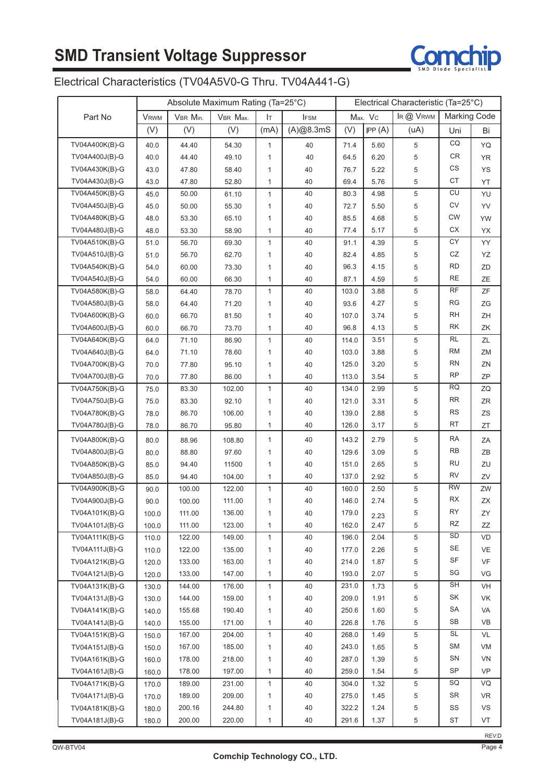

### Electrical Characteristics (TV04A5V0-G Thru. TV04A441-G)

|                | Absolute Maximum Rating (Ta=25°C) |          |          | Electrical Characteristic (Ta=25°C) |             |       |         |             |                     |           |
|----------------|-----------------------------------|----------|----------|-------------------------------------|-------------|-------|---------|-------------|---------------------|-----------|
| Part No        | <b>V</b> <sub>RWM</sub>           | VBR Min. | VBR Max. | Iт                                  | <b>IFSM</b> |       | Max. Vc | IR @ VRWM   | <b>Marking Code</b> |           |
|                | (V)                               | (V)      | (V)      | (mA)                                | (A)@8.3mS   | (V)   | IPP(A)  | (uA)        | Uni                 | Bi        |
| TV04A400K(B)-G | 40.0                              | 44.40    | 54.30    | $\mathbf{1}$                        | 40          | 71.4  | 5.60    | 5           | CQ                  | YQ        |
| TV04A400J(B)-G | 40.0                              | 44.40    | 49.10    | 1                                   | 40          | 64.5  | 6.20    | 5           | CR                  | YR        |
| TV04A430K(B)-G | 43.0                              | 47.80    | 58.40    | 1                                   | 40          | 76.7  | 5.22    | 5           | CS                  | YS        |
| TV04A430J(B)-G | 43.0                              | 47.80    | 52.80    | 1                                   | 40          | 69.4  | 5.76    | 5           | CT                  | YT        |
| TV04A450K(B)-G | 45.0                              | 50.00    | 61.10    | 1                                   | 40          | 80.3  | 4.98    | 5           | CU                  | YU        |
| TV04A450J(B)-G | 45.0                              | 50.00    | 55.30    | 1                                   | 40          | 72.7  | 5.50    | 5           | CV                  | YV        |
| TV04A480K(B)-G | 48.0                              | 53.30    | 65.10    | 1                                   | 40          | 85.5  | 4.68    | 5           | <b>CW</b>           | YW        |
| TV04A480J(B)-G | 48.0                              | 53.30    | 58.90    | $\mathbf{1}$                        | 40          | 77.4  | 5.17    | 5           | СX                  | YX        |
| TV04A510K(B)-G | 51.0                              | 56.70    | 69.30    | 1                                   | 40          | 91.1  | 4.39    | 5           | CY                  | YY        |
| TV04A510J(B)-G | 51.0                              | 56.70    | 62.70    | 1                                   | 40          | 82.4  | 4.85    | 5           | CZ                  | YZ        |
| TV04A540K(B)-G | 54.0                              | 60.00    | 73.30    | 1                                   | 40          | 96.3  | 4.15    | 5           | <b>RD</b>           | ZD        |
| TV04A540J(B)-G | 54.0                              | 60.00    | 66.30    | 1                                   | 40          | 87.1  | 4.59    | 5           | <b>RE</b>           | ZΕ        |
| TV04A580K(B)-G | 58.0                              | 64.40    | 78.70    | $\mathbf{1}$                        | 40          | 103.0 | 3.88    | 5           | <b>RF</b>           | ZF        |
| TV04A580J(B)-G | 58.0                              | 64.40    | 71.20    | 1                                   | 40          | 93.6  | 4.27    | 5           | RG                  | ZG        |
| TV04A600K(B)-G | 60.0                              | 66.70    | 81.50    | 1                                   | 40          | 107.0 | 3.74    | 5           | RH                  | ΖH        |
| TV04A600J(B)-G | 60.0                              | 66.70    | 73.70    | 1                                   | 40          | 96.8  | 4.13    | 5           | RK                  | ΖK        |
| TV04A640K(B)-G | 64.0                              | 71.10    | 86.90    | 1                                   | 40          | 114.0 | 3.51    | 5           | RL                  | ΖL        |
| TV04A640J(B)-G | 64.0                              | 71.10    | 78.60    | 1                                   | 40          | 103.0 | 3.88    | 5           | <b>RM</b>           | ΖM        |
| TV04A700K(B)-G | 70.0                              | 77.80    | 95.10    | 1                                   | 40          | 125.0 | 3.20    | 5           | <b>RN</b>           | ZN        |
| TV04A700J(B)-G | 70.0                              | 77.80    | 86.00    | 1                                   | 40          | 113.0 | 3.54    | 5           | <b>RP</b>           | ZP        |
| TV04A750K(B)-G | 75.0                              | 83.30    | 102.00   | 1                                   | 40          | 134.0 | 2.99    | 5           | <b>RQ</b>           | ZQ        |
| TV04A750J(B)-G | 75.0                              | 83.30    | 92.10    | 1                                   | 40          | 121.0 | 3.31    | 5           | <b>RR</b>           | ZR        |
| TV04A780K(B)-G | 78.0                              | 86.70    | 106.00   | 1                                   | 40          | 139.0 | 2.88    | 5           | <b>RS</b>           | ZS        |
| TV04A780J(B)-G | 78.0                              | 86.70    | 95.80    | 1                                   | 40          | 126.0 | 3.17    | 5           | RT                  | ZT        |
| TV04A800K(B)-G | 80.0                              | 88.96    | 108.80   | $\mathbf{1}$                        | 40          | 143.2 | 2.79    | 5           | RA                  | ΖA        |
| TV04A800J(B)-G | 80.0                              | 88.80    | 97.60    | 1                                   | 40          | 129.6 | 3.09    | 5           | <b>RB</b>           | ΖB        |
| TV04A850K(B)-G | 85.0                              | 94.40    | 11500    | 1                                   | 40          | 151.0 | 2.65    | 5           | RU                  | ZU        |
| TV04A850J(B)-G | 85.0                              | 94.40    | 104.00   | 1                                   | 40          | 137.0 | 2.92    | 5           | RV                  | ZV        |
| TV04A900K(B)-G | 90.0                              | 100.00   | 122.00   | $\mathbf{1}$                        | 40          | 160.0 | 2.50    | 5           | <b>RW</b>           | ZW        |
| TV04A900J(B)-G | 90.0                              | 100.00   | 111.00   | 1                                   | 40          | 146.0 | 2.74    | 5           | RX                  | ΖX        |
| TV04A101K(B)-G | 100.0                             | 111.00   | 136.00   | 1                                   | 40          | 179.0 | 2.23    | 5           | RY                  | ZΥ        |
| TV04A101J(B)-G | 100.0                             | 111.00   | 123.00   | 1                                   | 40          | 162.0 | 2.47    | 5           | <b>RZ</b>           | ZZ        |
| TV04A111K(B)-G | 110.0                             | 122.00   | 149.00   | $\mathbf{1}$                        | 40          | 196.0 | 2.04    | 5           | <b>SD</b>           | VD        |
| TV04A111J(B)-G | 110.0                             | 122.00   | 135.00   | 1                                   | 40          | 177.0 | 2.26    | 5           | SE                  | VE        |
| TV04A121K(B)-G | 120.0                             | 133.00   | 163.00   | 1                                   | 40          | 214.0 | 1.87    | $\,$ 5 $\,$ | SF                  | VF        |
| TV04A121J(B)-G | 120.0                             | 133.00   | 147.00   | $\mathbf{1}$                        | 40          | 193.0 | 2.07    | $\,$ 5 $\,$ | SG                  | VG        |
| TV04A131K(B)-G | 130.0                             | 144.00   | 176.00   | $\mathbf{1}$                        | 40          | 231.0 | 1.73    | $\,$ 5 $\,$ | <b>SH</b>           | VH        |
| TV04A131J(B)-G | 130.0                             | 144.00   | 159.00   | 1                                   | 40          | 209.0 | 1.91    | 5           | SK                  | VK        |
| TV04A141K(B)-G | 140.0                             | 155.68   | 190.40   | 1                                   | 40          | 250.6 | 1.60    | 5           | SA                  | VA        |
| TV04A141J(B)-G | 140.0                             | 155.00   | 171.00   | 1                                   | 40          | 226.8 | 1.76    | 5           | SB                  | VB        |
| TV04A151K(B)-G | 150.0                             | 167.00   | 204.00   | 1                                   | 40          | 268.0 | 1.49    | 5           | <b>SL</b>           | VL        |
| TV04A151J(B)-G | 150.0                             | 167.00   | 185.00   | 1                                   | 40          | 243.0 | 1.65    | 5           | SM                  | VM        |
| TV04A161K(B)-G | 160.0                             | 178.00   | 218.00   | 1                                   | 40          | 287.0 | 1.39    | 5           | SN                  | VN        |
| TV04A161J(B)-G | 160.0                             | 178.00   | 197.00   | $\mathbf{1}$                        | 40          | 259.0 | 1.54    | 5           | SP                  | <b>VP</b> |
| TV04A171K(B)-G | 170.0                             | 189.00   | 231.00   | $\mathbf{1}$                        | 40          | 304.0 | 1.32    | 5           | SQ                  | VQ        |
| TV04A171J(B)-G | 170.0                             | 189.00   | 209.00   | 1                                   | 40          | 275.0 | 1.45    | 5           | <b>SR</b>           | <b>VR</b> |
| TV04A181K(B)-G | 180.0                             | 200.16   | 244.80   | 1                                   | 40          | 322.2 | 1.24    | 5           | SS                  | VS        |
| TV04A181J(B)-G | 180.0                             | 200.00   | 220.00   | 1                                   | 40          | 291.6 | 1.37    | 5           | ST                  | VT        |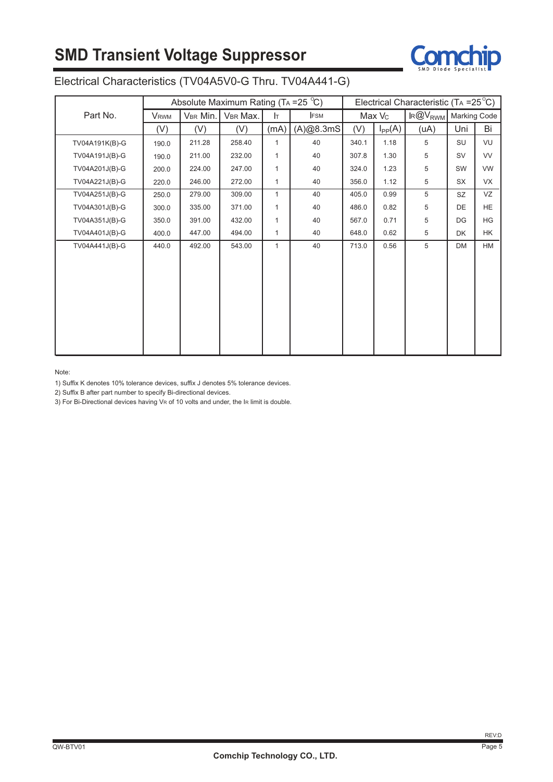# **SMD Transient Voltage Suppressor**



### Electrical Characteristics (TV04A5V0-G Thru. TV04A441-G)

|                | Absolute Maximum Rating (TA = 25 $^{\circ}$ C) |          |          |              |            |       |                    | Electrical Characteristic (TA = $25^{\circ}$ C) |                     |           |
|----------------|------------------------------------------------|----------|----------|--------------|------------|-------|--------------------|-------------------------------------------------|---------------------|-----------|
| Part No.       | <b>VRWM</b>                                    | VBR Min. | VBR Max. | Iт           | <b>FSM</b> |       | Max V <sub>c</sub> | $R@V_{RWM}$                                     | <b>Marking Code</b> |           |
|                | (V)                                            | (V)      | (V)      | (mA)         | (A)@8.3mS  | (V)   | $I_{PP}(A)$        | (uA)                                            | Uni                 | Bi        |
| TV04A191K(B)-G | 190.0                                          | 211.28   | 258.40   | $\mathbf{1}$ | 40         | 340.1 | 1.18               | 5                                               | SU                  | VU        |
| TV04A191J(B)-G | 190.0                                          | 211.00   | 232.00   | $\mathbf{1}$ | 40         | 307.8 | 1.30               | 5                                               | <b>SV</b>           | <b>VV</b> |
| TV04A201J(B)-G | 200.0                                          | 224.00   | 247.00   | $\mathbf{1}$ | 40         | 324.0 | 1.23               | 5                                               | SW                  | <b>VW</b> |
| TV04A221J(B)-G | 220.0                                          | 246.00   | 272.00   | $\mathbf{1}$ | 40         | 356.0 | 1.12               | 5                                               | SX                  | <b>VX</b> |
| TV04A251J(B)-G | 250.0                                          | 279.00   | 309.00   | $\mathbf{1}$ | 40         | 405.0 | 0.99               | 5                                               | <b>SZ</b>           | VZ        |
| TV04A301J(B)-G | 300.0                                          | 335.00   | 371.00   | $\mathbf{1}$ | 40         | 486.0 | 0.82               | 5                                               | DE                  | <b>HE</b> |
| TV04A351J(B)-G | 350.0                                          | 391.00   | 432.00   | $\mathbf{1}$ | 40         | 567.0 | 0.71               | 5                                               | DG                  | <b>HG</b> |
| TV04A401J(B)-G | 400.0                                          | 447.00   | 494.00   | $\mathbf{1}$ | 40         | 648.0 | 0.62               | 5                                               | <b>DK</b>           | HK.       |
| TV04A441J(B)-G | 440.0                                          | 492.00   | 543.00   | $\mathbf{1}$ | 40         | 713.0 | 0.56               | 5                                               | <b>DM</b>           | HM        |
|                |                                                |          |          |              |            |       |                    |                                                 |                     |           |
|                |                                                |          |          |              |            |       |                    |                                                 |                     |           |
|                |                                                |          |          |              |            |       |                    |                                                 |                     |           |
|                |                                                |          |          |              |            |       |                    |                                                 |                     |           |
|                |                                                |          |          |              |            |       |                    |                                                 |                     |           |
|                |                                                |          |          |              |            |       |                    |                                                 |                     |           |
|                |                                                |          |          |              |            |       |                    |                                                 |                     |           |
|                |                                                |          |          |              |            |       |                    |                                                 |                     |           |

#### Note:

1) Suffix K denotes 10% tolerance devices, suffix J denotes 5% tolerance devices.

2) Suffix B after part number to specify Bi-directional devices.

3) For Bi-Directional devices having VR of 10 volts and under, the IR limit is double.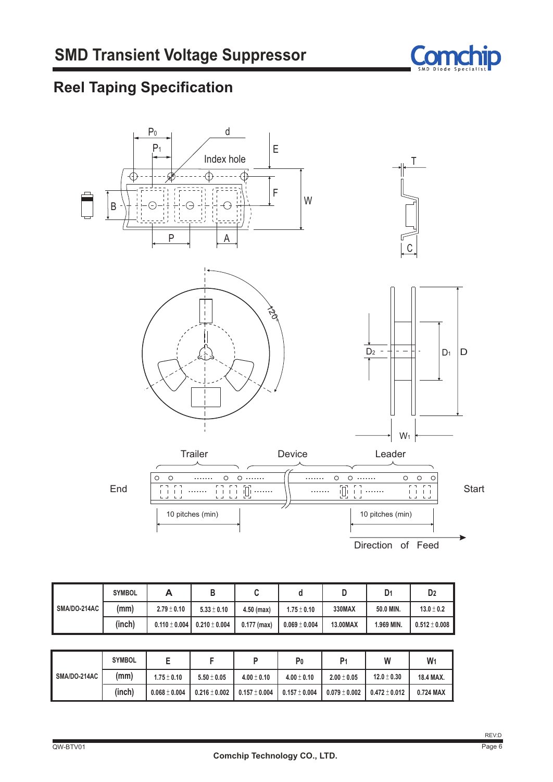

# **Reel Taping Specification**



|              | <b>SYMBOL</b> |                   |                   |               |                   |          | D <sub>1</sub> | D <sub>2</sub>  |
|--------------|---------------|-------------------|-------------------|---------------|-------------------|----------|----------------|-----------------|
| SMA/DO-214AC | (mm)          | $2.79 \pm 0.10$   | $5.33 \pm 0.10$   | 4.50 (max)    | $1.75 \pm 0.10$   | 330MAX   | 50.0 MIN.      | $13.0 \pm 0.2$  |
|              | (inch)        | $0.110 \pm 0.004$ | $0.210 \pm 0.004$ | $0.177$ (max) | $0.069 \pm 0.004$ | 13.00MAX | 1.969 MIN.     | $0.512\pm0.008$ |

|              | <b>SYMBOL</b> |                   |                   |                   | P0              | P <sub>1</sub>  | W               | $W_1$     |
|--------------|---------------|-------------------|-------------------|-------------------|-----------------|-----------------|-----------------|-----------|
| SMA/DO-214AC | (mm)          | $1.75 \pm 0.10$   | $5.50 \pm 0.05$   | $4.00 \pm 0.10$   | $4.00 \pm 0.10$ | $2.00 \pm 0.05$ | $12.0 \pm 0.30$ | 18.4 MAX. |
|              | (inch)        | $0.068 \pm 0.004$ | $0.216 \pm 0.002$ | $0.157 \pm 0.004$ | $0.157\pm0.004$ | $0.079\pm0.002$ | $0.472\pm0.012$ | 0.724 MAX |